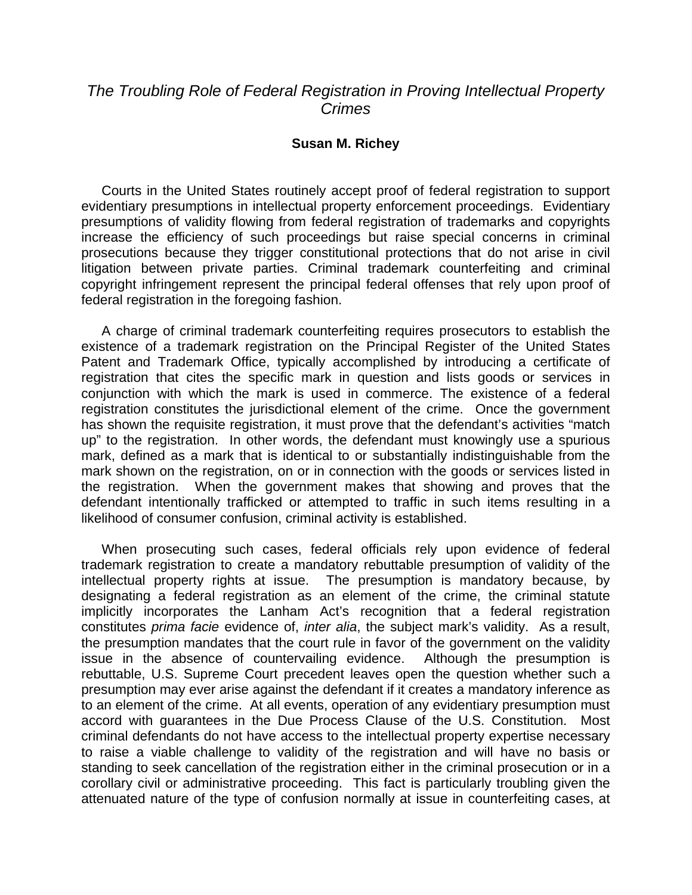## *The Troubling Role of Federal Registration in Proving Intellectual Property Crimes*

## **Susan M. Richey**

Courts in the United States routinely accept proof of federal registration to support evidentiary presumptions in intellectual property enforcement proceedings. Evidentiary presumptions of validity flowing from federal registration of trademarks and copyrights increase the efficiency of such proceedings but raise special concerns in criminal prosecutions because they trigger constitutional protections that do not arise in civil litigation between private parties. Criminal trademark counterfeiting and criminal copyright infringement represent the principal federal offenses that rely upon proof of federal registration in the foregoing fashion.

A charge of criminal trademark counterfeiting requires prosecutors to establish the existence of a trademark registration on the Principal Register of the United States Patent and Trademark Office, typically accomplished by introducing a certificate of registration that cites the specific mark in question and lists goods or services in conjunction with which the mark is used in commerce. The existence of a federal registration constitutes the jurisdictional element of the crime. Once the government has shown the requisite registration, it must prove that the defendant's activities "match up" to the registration. In other words, the defendant must knowingly use a spurious mark, defined as a mark that is identical to or substantially indistinguishable from the mark shown on the registration, on or in connection with the goods or services listed in the registration. When the government makes that showing and proves that the defendant intentionally trafficked or attempted to traffic in such items resulting in a likelihood of consumer confusion, criminal activity is established.

When prosecuting such cases, federal officials rely upon evidence of federal trademark registration to create a mandatory rebuttable presumption of validity of the intellectual property rights at issue. The presumption is mandatory because, by designating a federal registration as an element of the crime, the criminal statute implicitly incorporates the Lanham Act's recognition that a federal registration constitutes *prima facie* evidence of, *inter alia*, the subject mark's validity. As a result, the presumption mandates that the court rule in favor of the government on the validity issue in the absence of countervailing evidence. Although the presumption is rebuttable, U.S. Supreme Court precedent leaves open the question whether such a presumption may ever arise against the defendant if it creates a mandatory inference as to an element of the crime. At all events, operation of any evidentiary presumption must accord with guarantees in the Due Process Clause of the U.S. Constitution. Most criminal defendants do not have access to the intellectual property expertise necessary to raise a viable challenge to validity of the registration and will have no basis or standing to seek cancellation of the registration either in the criminal prosecution or in a corollary civil or administrative proceeding. This fact is particularly troubling given the attenuated nature of the type of confusion normally at issue in counterfeiting cases, at